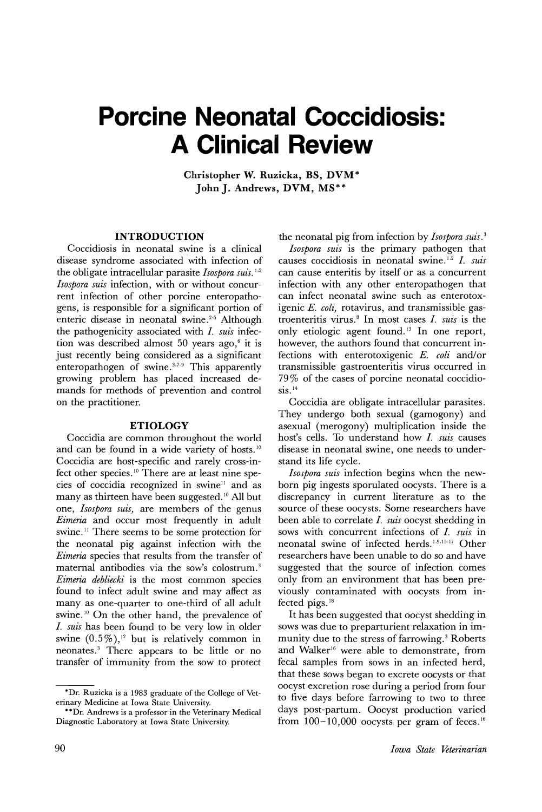# **Porcine Neonatal Coccidiosis: A Clinical Review**

Christopher W. Ruzicka, BS, DVM\* JohnJ. Andrews, DVM, MS\*\*

# INTRODUCTION

Coccidiosis in neonatal swine is a clinical disease syndrome associated with infection of the obligate intracellular parasite *Isospora suis. 1,2 Isospora suis* infection, with or without concurrent infection of other porcine enteropathogens, is responsible for a significant portion of enteric disease in neonatal swine.<sup>2-5</sup> Although the pathogenicity associated with 1. *suis* infection was described almost 50 years ago, $6$  it is just recently being considered as a significant enteropathogen of swine.<sup>3,7.9</sup> This apparently growing problem has placed increased demands for methods of prevention and control on the practitioner.

### ETIOLOGY

Coccidia are common throughout the world and can be found in a wide variety of hosts. <sup>10</sup> Coccidia are host-specific and rarely cross-infect other species. <sup>10</sup> There are at least nine species of coccidia recognized in swine<sup>11</sup> and as many as thirteen have been suggested.<sup>10</sup> All but one, *Isospora suis)* are members of the genus *Eimeria* and occur most frequently in adult swine. <sup>11</sup> There seems to be some protection for the neonatal pig against infection with the *Eimeria* species that results from the transfer of maternal antibodies via the sow's colostrum. <sup>3</sup> *Eimeria debliecki* is the most common species found to infect adult swine and may affect as many as one-quarter to one-third of all adult swine.<sup>10</sup> On the other hand, the prevalence of 1. *suis* has been found to be very low in older swine  $(0.5\%)$ ,<sup>12</sup> but is relatively common in neonates. <sup>3</sup> There appears to be little or no transfer of immunity from the sow to protect

the neonatal pig from infection by *Isospora suis.* <sup>3</sup>

*Isospora suis* is the primary pathogen that causes coccidiosis in neonatal swine. <sup>1</sup> ,2 1. *suis* can cause enteritis by itself or as a concurrent infection with any other enteropathogen that can infect neonatal swine such as enterotoxigenic *E. coli*, rotavirus, and transmissible gastroenteritis virus. <sup>8</sup> In most cases 1. *suis* is the only etiologic agent found.<sup>13</sup> In one report, however, the authors found that concurrent infections with enterotoxigenic *E. coli* and/or transmissible gastroenteritis virus occurred in 79 % of the cases of porcine neonatal coccidio- $\sin^{14}$ 

Coccidia are obligate intracellular parasites. They undergo both sexual (gamogony) and asexual (merogony) multiplication inside the host's cells. To understand how 1. *suis* causes disease in neonatal swine, one needs to understand its life cycle.

*Isospora suis* infection begins when the newborn pig ingests sporulated oocysts. There is a discrepancy in current literature as to the source of these oocysts. Some researchers have been able to correlate 1. *suis* oocyst shedding in sows with concurrent infections of 1. *suis* in neonatal swine of infected herds.1.9,15-17 Other researchers have been unable to do so and have suggested that the source of infection comes only from an environment that has been previously contaminated with oocysts from infected pigs. <sup>18</sup>

It has been suggested that oocyst shedding in sows was due to preparturient relaxation in immunity due to the stress of farrowing.<sup>3</sup> Roberts and Walker<sup>16</sup> were able to demonstrate, from fecal samples from sows in an infected herd, that these sows began to excrete oocysts or that oocyst excretion rose during a period from four to five days before farrowing to two to three days post-partum. Oocyst production varied from  $100-10,000$  oocysts per gram of feces.<sup>16</sup>

<sup>\*</sup>Dr. Ruzicka is a 1983 graduate of the College of Veterinary Medicine at Iowa State University.

<sup>\*\*</sup>Dr. Andrews is a professor in the Veterinary Medical Diagnostic Laboratory at Iowa State University.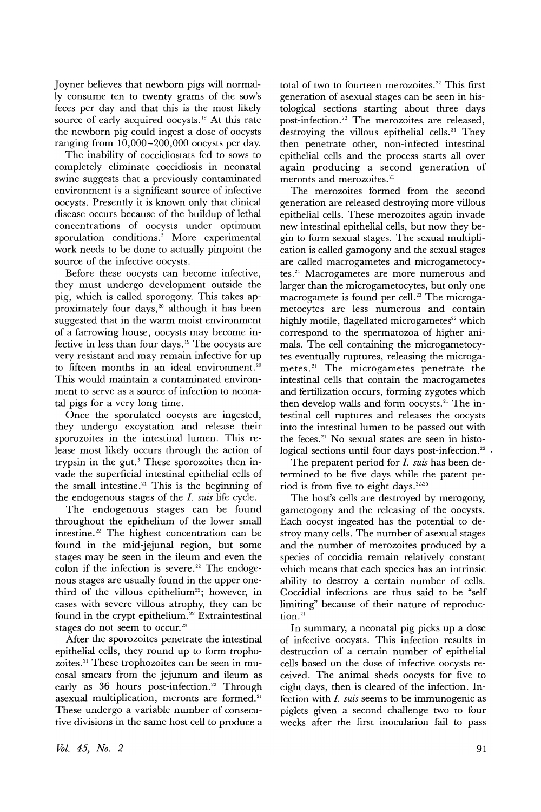Joyner believes that newborn pigs will normally consume ten to twenty grams of the sow's feces per day and that this is the most likely source of early acquired oocysts.<sup>19</sup> At this rate the newborn pig could ingest a dose of oocysts ranging from 10,000-200,000 oocysts per day.

The inability of coccidiostats fed to sows to completely eliminate coccidiosis in neonatal swine suggests that a previously contaminated environment is a significant source of infective oocysts. Presently it is known only that clinical disease occurs because of the buildup of lethal concentrations of oocysts under optimum sporulation conditions.<sup>3</sup> More experimental work needs to be done to actually pinpoint the source of the infective oocysts.

Before these oocysts can become infective, they must undergo development outside the pig, which is called sporogony. This takes approximately four days,<sup>20</sup> although it has been suggested that in the warm moist environment of a farrowing house, oocysts may become infective in less than four days.19 The oocysts are very resistant and may remain infective for up to fifteen months in an ideal environment.<sup>20</sup> This would maintain a contaminated environment to serve as a source of infection to neonatal pigs for a very long time.

Once the sporulated oocysts are ingested, they undergo excystation and release their sporozoites in the intestinal lumen. This release most likely occurs through the action of trypsin in the gut.3 These sporozoites then invade the superficial intestinal epithelial cells of the small intestine.<sup>21</sup> This is the beginning of the endogenous stages of the 1. *suis* life cycle.

The endogenous stages can be found throughout the epithelium of the lower small intestine. <sup>22</sup> The highest concentration can be found in the mid-jejunal region, but some stages may be seen in the ileum and even the colon if the infection is severe.<sup>22</sup> The endogenous stages are usually found in the upper onethird of the villous epithelium<sup>22</sup>; however, in cases with severe villous atrophy, they can be found in the crypt epithelium.<sup>22</sup> Extraintestinal stages do not seem to occur.<sup>23</sup>

After the sporozoites penetrate the intestinal epithelial cells, they round up to form trophozoites. <sup>21</sup> These trophozoites can be seen in mucosal smears from the jejunum and ileum as early as 36 hours post-infection.<sup>22</sup> Through asexual multiplication, meronts are formed.<sup>21</sup> These undergo a variable number of consecutive divisions in the same host cell to produce a total of two to fourteen merozoites.<sup>22</sup> This first generation of asexual stages can be seen in histological sections starting about three days post-infection.<sup>22</sup> The merozoites are released, destroying the villous epithelial cells.<sup>24</sup> They then penetrate other, non-infected intestinal epithelial cells and the process starts all over again producing a second generation of meronts and merozoites.<sup>21</sup>

The merozoites formed from the second generation are released destroying more villous epithelial cells. These merozoites again invade new intestinal epithelial cells, but now they begin to form sexual stages. The sexual multiplication is called gamogony and the sexual stages are called macrogametes and microgametocytes. <sup>21</sup> Macrogametes are more numerous and larger than the microgametocytes, but only one macrogamete is found per cell.<sup>22</sup> The microgametocytes are less numerous and contain highly motile, flagellated microgametes $^{22}$  which correspond to the spermatozoa of higher animals. The cell containing the microgametocytes eventually ruptures, releasing the microgametes. <sup>21</sup> The microgametes penetrate the intestinal cells that contain the macrogametes and fertilization occurs, forming zygotes which then develop walls and form oocysts.<sup>21</sup> The intestinal cell ruptures and releases the oocysts into the intestinal lumen to be passed out with the feces.<sup>21</sup> No sexual states are seen in histological sections until four days post-infection.<sup>22</sup>.

The prepatent period for 1. *suis* has been determined to be five days while the patent period is from five to eight days.<sup>22,25</sup>

The host's cells are destroyed by merogony, gametogony and the releasing of the oocysts. Each oocyst ingested has the potential to destroy many cells. The number of asexual stages and the number of merozoites produced by a species of coccidia remain relatively constant which means that each species has an intrinsic ability to destroy a certain number of cells. Coccidial infections are thus said to be "self limiting" because of their nature of reproduction.<sup>21</sup>

In summary, a neonatal pig picks up a dose of infective oocysts. This infection results in destruction of a certain number of epithelial cells based on the dose of infective oocysts received. The animal sheds oocysts for five to eight days, then is cleared of the infection. Infection with 1. *suis* seems to be immunogenic as piglets given a second challenge two to four weeks after the first inoculation fail to pass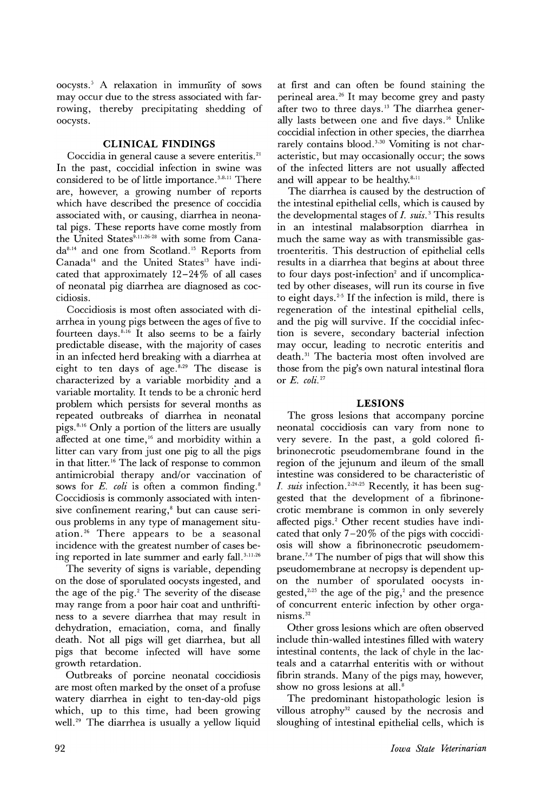oocysts. <sup>5</sup> A relaxation in immunity of sows may occur due to the stress associated with farrowing, thereby precipitating shedding of oocysts.

## **CLINICAL FINDINGS**

Coccidia in general cause a severe enteritis.<sup>21</sup> In the past, coccidial infection in swine was considered to be of little importance.<sup>3,8,11</sup> There are, however, a growing number of reports which have described the presence of coccidia associated with, or causing, diarrhea in neonatal pigs. These reports have come mostly from the United States<sup>9,11,26-28</sup> with some from Canada<sup>8,14</sup> and one from Scotland.<sup>15</sup> Reports from Canada<sup>14</sup> and the United States<sup>13</sup> have indicated that approximately  $12-24\%$  of all cases of neonatal pig diarrhea are diagnosed as coccidiosis.

Coccidiosis is most often associated with diarrhea in young pigs between the ages of five to fourteen days. $8,16$  It also seems to be a fairly predictable disease, with the majority of cases in an infected herd breaking with a diarrhea at eight to ten days of age.<sup>8,29</sup> The disease is characterized by a variable morbidity and a variable mortality. It tends to be a chronic herd problem which persists for several months as repeated outbreaks of diarrhea in neonatal pigs.  $8,16$  Only a portion of the litters are usually affected at one time,<sup>16</sup> and morbidity within a litter can vary from just one pig to all the pigs in that litter. <sup>16</sup> The lack of response to common antimicrobial therapy and/or vaccination of sows for  $E$ . *coli* is often a common finding.<sup>8</sup> Coccidiosis is commonly associated with intensive confinement rearing, $s$  but can cause serious problems in any type of management situation. <sup>26</sup> There appears to be a seasonal incidence with the greatest number of cases being reported in late summer and early fall. 3,11,26

The severity of signs is variable, depending on the dose of sporulated oocysts ingested, and the age of the pig. $^2$  The severity of the disease may range from a poor hair coat and unthriftiness to a severe diarrhea that may result in dehydration, emaciation, coma, and finally death. Not all pigs will get diarrhea, but all pigs that become infected will have some growth retardation.

Outbreaks of porcine neonatal coccidiosis are most often marked by the onset of a profuse watery diarrhea in eight to ten-day-old pigs which, up to this time, had been growing well.<sup>29</sup> The diarrhea is usually a yellow liquid

at first and can often be found staining the perineal area. <sup>26</sup> It may become grey and pasty after two to three days. <sup>13</sup> The diarrhea generally lasts between one and five days.16 Unlike coccidial infection in other species, the diarrhea rarely contains blood.<sup>3,30</sup> Vomiting is not characteristic, but may occasionally occur; the sows of the infected litters are not usually affected and will appear to be healthy.<sup>8,11</sup>

The diarrhea is caused by the destruction of the intestinal epithelial cells, which is caused by the developmental stages of  $I$ ,  $suis$ <sup>3</sup>. This results in an intestinal malabsorption diarrhea in much the same way as with transmissible gastroenteritis. This destruction of epithelial cells results in a diarrhea that begins at about three to four days post-infection<sup>2</sup> and if uncomplicated by other diseases, will run its course in five to eight days.<sup>2-5</sup> If the infection is mild, there is regeneration of the intestinal epithelial cells, and the pig will survive. If the coccidial infection is severe, secondary bacterial infection may occur, leading to necrotic enteritis and death. <sup>31</sup> The bacteria most often involved are those from the pig's own natural intestinal flora or *E. coli.* <sup>27</sup>

## **LESIONS**

The gross lesions that accompany porcine neonatal coccidiosis can vary from none to very severe. In the past, a gold colored fibrinonecrotic pseudomembrane found in the region of the jejunum and ileum of the small intestine was considered to be characteristic of I. *suis* infection. 2,24,25 Recently, it has been suggested that the development of a fibrinonecrotic membrane is common in only severely affected pigs.<sup>2</sup> Other recent studies have indicated that only  $7-20\%$  of the pigs with coccidi-0sis will show a fibrinonecrotic pseudomembrane. <sup>7</sup> ,8 The number of pigs that will show this pseudomembrane at necropsy is dependent upon the number of sporulated oocysts ingested,<sup>2,25</sup> the age of the pig,<sup>2</sup> and the presence of concurrent enteric infection by other organisms. <sup>32</sup>

Other gross lesions which are often observed include thin-walled intestines filled with watery intestinal contents, the lack of chyle in the lacteals and a catarrhal enteritis with or without fibrin strands. Many of the pigs may, however, show no gross lesions at all.<sup>8</sup>

The predominant histopathologic lesion is villous atrophy<sup>32</sup> caused by the necrosis and sloughing of intestinal epithelial cells, which is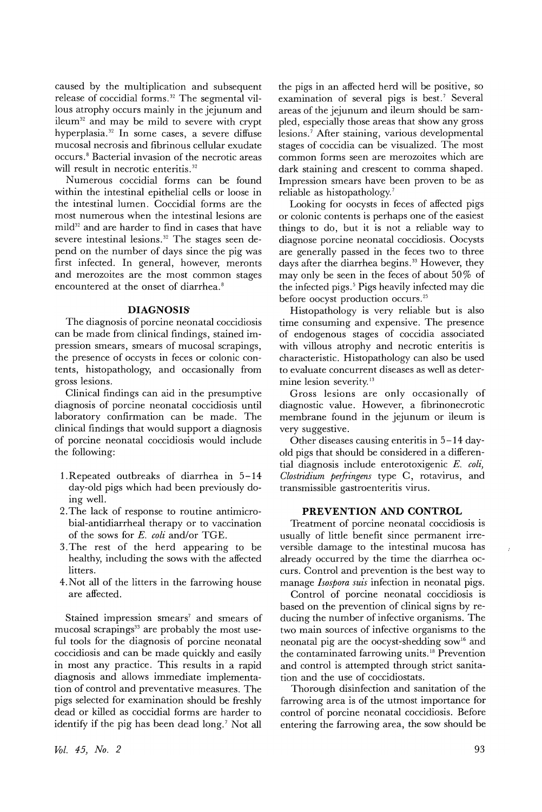caused by the multiplication and subsequent release of coccidial forms. <sup>32</sup> The segmental villous atrophy occurs mainly in the jejunum and  $ileum<sup>32</sup>$  and may be mild to severe with crypt hyperplasia. <sup>32</sup> In some cases, a severe diffuse mucosal necrosis and fibrinous cellular exudate occurs. <sup>8</sup> Bacterial invasion of the necrotic areas will result in necrotic enteritis.<sup>32</sup>

Numerous coccidial forms can be found within the intestinal epithelial cells or loose in the intestinal lumen. Coccidial forms are the most numerous when the intestinal lesions are  $\text{mild}^{32}$  and are harder to find in cases that have severe intestinal lesions.<sup>32</sup> The stages seen depend on the number of days since the pig was first infected. In general, however, meronts and merozoites are the most common stages encountered at the onset of diarrhea.<sup>8</sup>

## **DIAGNOSIS**

The diagnosis of porcine neonatal coccidiosis can be made from clinical findings, stained impression smears, smears of mucosal scrapings, the presence of occysts in feces or colonic contents, histopathology, and occasionally from gross lesions.

Clinical findings can aid in the presumptive diagnosis of porcine neonatal coccidiosis until laboratory confirmation can be made. The clinical findings that would support a diagnosis of porcine neonatal coccidiosis would include the following:

- 1.Repeated outbreaks of diarrhea in 5-14 day-old pigs which had been previously doing well.
- 2.The lack of response to routine antimicrobial-antidiarrheal therapy or to vaccination of the sows for *E. coli* and/or TGE.
- 3.The rest of the herd appearing to be healthy, including the sows with the affected litters.
- 4. Not all of the litters in the farrowing house are affected.

Stained impression smears<sup>7</sup> and smears of mucosal scrapings<sup>33</sup> are probably the most useful tools for the diagnosis of porcine neonatal coccidiosis and can be made quickly and easily in most any practice. This results in a rapid diagnosis and allows immediate implementation of control and preventative measures. The pigs selected for examination should be freshly dead or killed as coccidial forms are harder to identify if the pig has been dead long.<sup>7</sup> Not all

the pigs in an affected herd will be positive, so examination of several pigs is best.<sup>7</sup> Several areas of the jejunum and ileum should be sampled, especially those areas that show any gross lesions.<sup>7</sup> After staining, various developmental stages of coccidia can be visualized. The most common forms seen are merozoites which are dark staining and crescent to comma shaped. Impression smears have been proven to be as reliable as histopathology.<sup>7</sup>

Looking for oocysts in feces of affected pigs or colonic contents is perhaps one of the easiest things to do, but it is not a reliable way to diagnose porcine neonatal coccidiosis. Oocysts are generally passed in the feces two to three days after the diarrhea begins.<sup>33</sup> However, they may only be seen in the feces of about 50% of the infected pigs. <sup>5</sup> Pigs heavily infected may die before oocyst production occurs. <sup>25</sup>

Histopathology is very reliable but is also time consuming and expensive. The presence of endogenous stages of coccidia associated with villous atrophy and necrotic enteritis is characteristic. Histopathology can also be used to evaluate concurrent diseases as well as determine lesion severity.<sup>13</sup>

Gross lesions are only occasionally of diagnostic value. However, a fibrinonecrotic membrane found in the jejunum or ileum is very suggestive.

Other diseases causing enteritis in 5-14 dayold pigs that should be considered in a differential diagnosis include enterotoxigenic *E. coli, Clostridium perfringens* type C, rotavirus, and transmissible gastroenteritis virus.

#### **PREVENTION AND CONTROL**

Treatment of porcine neonatal coccidiosis is usually of little benefit since permanent irreversible damage to the intestinal mucosa has already occurred by the time the diarrhea occurs. Control and prevention is the best way to manage *Isospora suis* infection in neonatal pigs.

Control of porcine neonatal coccidiosis is based on the prevention of clinical signs by reducing the number of infective organisms. The two main sources of infective organisms to the neonatal pig are the oocyst-shedding sow<sup>16</sup> and the contaminated farrowing units. <sup>18</sup> Prevention and control is attempted through strict sanitation and the use of coccidiostats.

Thorough disinfection and sanitation of the farrowing area is of the utmost importance for control of porcine neonatal coccidiosis. Before entering the farrowing area, the sow should be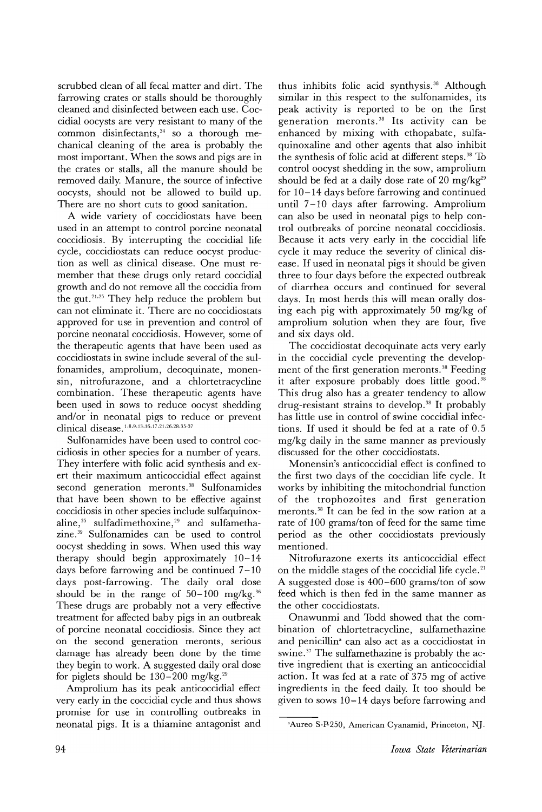scrubbed clean of all fecal matter and dirt. The farrowing crates or stalls should be thoroughly cleaned and disinfected between each use. Coccidial oocysts are very resistant to many of the common disinfectants, $34$  so a thorough mechanical cleaning of the area is probably the most important. When the sows and pigs are in the crates or stalls, all the manure should be removed daily. Manure, the source of infective oocysts, should not be allowed to build up. There are no short cuts to good sanitation.

A wide variety of coccidiostats have been used in an attempt to control porcine neonatal coccidiosis. By interrupting the coccidial life cycle, coccidiostats can reduce oocyst production as well as clinical disease. One must remember that these drugs only retard coccidial growth and do not remove all the coccidia from the gut.<sup>21,25</sup> They help reduce the problem but can not eliminate it. There are no coccidiostats approved for use in prevention and control of porcine neonatal coccidiosis. However, some of the therapeutic agents that have been used as coccidiostats in swine include several of the sulfonamides, amprolium, decoquinate, monensin, nitrofurazone, and a chlortetracycline combination. These therapeutic agents have been used in sows to reduce oocyst shedding and/or in neonatal pigs to reduce or prevent clinical disease.<sup>1,8,9,13,16,17,21,26,28,35-37</sup>

Sulfonamides have been used to control coccidiosis in other species for a number of years. They interfere with folic acid synthesis and exert their maximum anticoccidial effect against second generation meronts.<sup>38</sup> Sulfonamides that have been shown to be effective against coccidiosis in other species include sulfaquinoxaline, $35$  sulfadimethoxine, $29$  and sulfamethazine. <sup>39</sup> Sulfonamides can be used to control oocyst shedding in sows. When used this way therapy should begin approximately 10-14 days before farrowing and be continued 7-10 days post-farrowing. The daily oral dose should be in the range of  $50-100$  mg/kg.<sup>36</sup> These drugs are probably not a very effective treatment for affected baby pigs in an outbreak of porcine neonatal coccidiosis. Since they act on the second generation meronts, serious damage has already been done by the time they begin to work. A suggested daily oral dose for piglets should be  $130-200$  mg/kg.<sup>29</sup>

Amprolium has its peak anticoccidial effect very early in the coccidial cycle and thus shows promise for use in controlling outbreaks in neonatal pigs. It is a thiamine antagonist and thus inhibits folic acid synthysis. <sup>38</sup> Although similar in this respect to the sulfonamides, its peak activity is reported to be on the first generation meronts.<sup>38</sup> Its activity can be enhanced by mixing with ethopabate, sulfaquinoxaline and other agents that also inhibit the synthesis of folic acid at different steps. $38$  To control oocyst shedding in the sow, amprolium should be fed at a daily dose rate of 20 mg/kg<sup>29</sup> for 10-14 days before farrowing and continued until 7-10 days after farrowing. Amprolium can also be used in neonatal pigs to help control outbreaks of porcine neonatal coccidiosis. Because it acts very early in the coccidial life cycle it may reduce the severity of clinical disease. If used in neonatal pigs it should be given three to four days before the expected outbreak of diarrhea occurs and continued for several days. In most herds this will mean orally dosing each pig with approximately 50 mg/kg of amprolium solution when they are four, five and six days old.

The coccidiostat decoquinate acts very early in the coccidial cycle preventing the development of the first generation meronts.<sup>38</sup> Feeding it after exposure probably does little good.<sup>38</sup> This drug also has a greater tendency to allow drug-resistant strains to develop.<sup>38</sup> It probably has little use in control of swine coccidial infections. If used it should be fed at a rate of 0.5 mg/kg daily in the same manner as previously discussed for the other coccidiostats.

Monensin's anticoccidial effect is confined to the first two days of the coccidian life cycle. It works by inhibiting the mitochondrial function of the trophozoites and first generation meronts. <sup>38</sup> It can be fed in the sow ration at a rate of 100 grams/ton of feed for the same time period as the other coccidiostats previously mentioned.

Nitrofurazone exerts its anticoccidial effect on the middle stages of the coccidial life cycle.<sup>21</sup> A suggested dose is 400-600 grams/ton of sow feed which is then fed in the same manner as the other coccidiostats.

Onawunmi and Todd showed that the combination of chlortetracycline, sulfamethazine and penicillin<sup>a</sup> can also act as a coccidiostat in swine.<sup>37</sup> The sulfamethazine is probably the active ingredient that is exerting an anticoccidial action. It was fed at a rate of 375 mg of active ingredients in the feed daily. It too should be given to sows 10-14 days before farrowing and

aAureo S-P-250, American Cyanamid, Princeton, NJ.